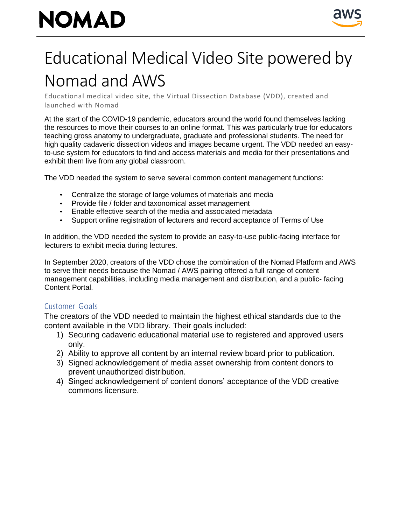# **NOMAD**



### Educational Medical Video Site powered by Nomad and AWS

Educational medical video site, the Virtual Dissection Database (VDD), created and launched with Nomad

At the start of the COVID-19 pandemic, educators around the world found themselves lacking the resources to move their courses to an online format. This was particularly true for educators teaching gross anatomy to undergraduate, graduate and professional students. The need for high quality cadaveric dissection videos and images became urgent. The VDD needed an easyto-use system for educators to find and access materials and media for their presentations and exhibit them live from any global classroom.

The VDD needed the system to serve several common content management functions:

- Centralize the storage of large volumes of materials and media
- Provide file / folder and taxonomical asset management
- Enable effective search of the media and associated metadata
- Support online registration of lecturers and record acceptance of Terms of Use

In addition, the VDD needed the system to provide an easy-to-use public-facing interface for lecturers to exhibit media during lectures.

In September 2020, creators of the VDD chose the combination of the Nomad Platform and AWS to serve their needs because the Nomad / AWS pairing offered a full range of content management capabilities, including media management and distribution, and a public- facing Content Portal.

### Customer Goals

The creators of the VDD needed to maintain the highest ethical standards due to the content available in the VDD library. Their goals included:

- 1) Securing cadaveric educational material use to registered and approved users only.
- 2) Ability to approve all content by an internal review board prior to publication.
- 3) Signed acknowledgement of media asset ownership from content donors to prevent unauthorized distribution.
- 4) Singed acknowledgement of content donors' acceptance of the VDD creative commons licensure.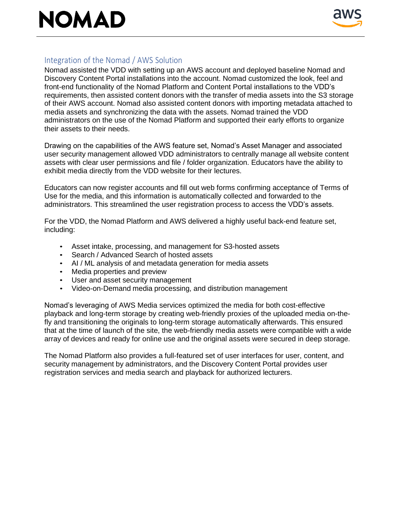## NOMAD



### Integration of the Nomad / AWS Solution

Nomad assisted the VDD with setting up an AWS account and deployed baseline Nomad and Discovery Content Portal installations into the account. Nomad customized the look, feel and front-end functionality of the Nomad Platform and Content Portal installations to the VDD's requirements, then assisted content donors with the transfer of media assets into the S3 storage of their AWS account. Nomad also assisted content donors with importing metadata attached to media assets and synchronizing the data with the assets. Nomad trained the VDD administrators on the use of the Nomad Platform and supported their early efforts to organize their assets to their needs.

Drawing on the capabilities of the AWS feature set, Nomad's Asset Manager and associated user security management allowed VDD administrators to centrally manage all website content assets with clear user permissions and file / folder organization. Educators have the ability to exhibit media directly from the VDD website for their lectures.

Educators can now register accounts and fill out web forms confirming acceptance of Terms of Use for the media, and this information is automatically collected and forwarded to the administrators. This streamlined the user registration process to access the VDD's assets.

For the VDD, the Nomad Platform and AWS delivered a highly useful back-end feature set, including:

- Asset intake, processing, and management for S3-hosted assets
- Search / Advanced Search of hosted assets
- AI / ML analysis of and metadata generation for media assets
- Media properties and preview
- User and asset security management
- Video-on-Demand media processing, and distribution management

Nomad's leveraging of AWS Media services optimized the media for both cost-effective playback and long-term storage by creating web-friendly proxies of the uploaded media on-thefly and transitioning the originals to long-term storage automatically afterwards. This ensured that at the time of launch of the site, the web-friendly media assets were compatible with a wide array of devices and ready for online use and the original assets were secured in deep storage.

The Nomad Platform also provides a full-featured set of user interfaces for user, content, and security management by administrators, and the Discovery Content Portal provides user registration services and media search and playback for authorized lecturers.